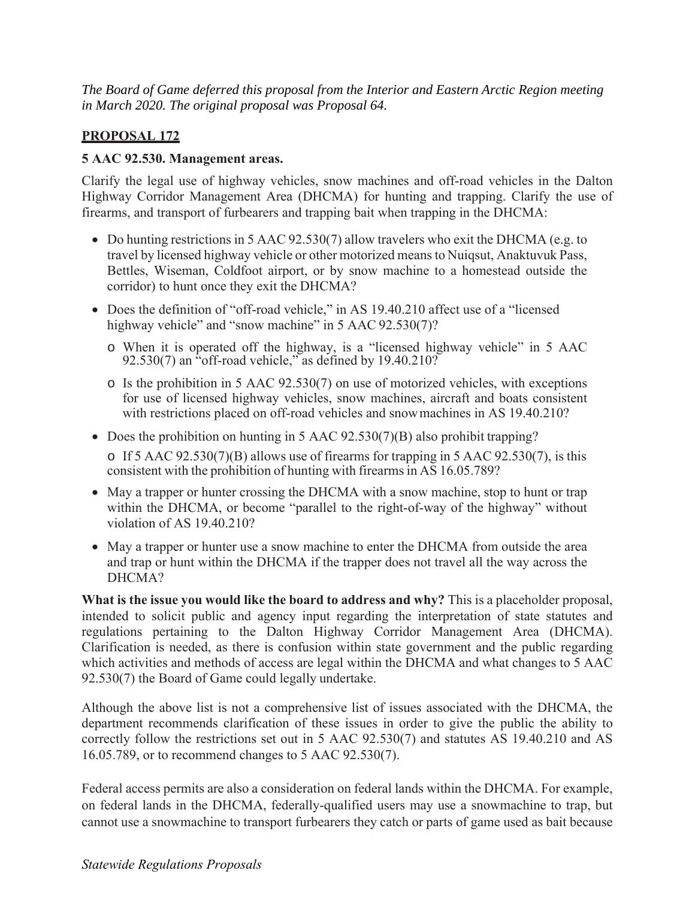*The Board of Game deferred this proposal from the Interior and Eastern Arctic Region meeting in March 2020. The original proposal was Proposal 64.* 

## **PROPOSAL 172**

## **5 AAC 92.530. Management areas.**

Clarify the legal use of highway vehicles, snow machines and off-road vehicles in the Dalton Highway Corridor Management Area (DHCMA) for hunting and trapping. Clarify the use of firearms, and transport of furbearers and trapping bait when trapping in the DHCMA:

- Bettles, Wiseman, Coldfoot airport, or by snow machine to a homestead outside the  $\bullet$  Do hunting restrictions in 5 AAC 92.530(7) allow travelers who exit the DHCMA (e.g. to travel by licensed highway vehicle or other motorized means to Nuiqsut, Anaktuvuk Pass, corridor) to hunt once they exit the DHCMA?
- Does the definition of "off-road vehicle," in AS 19.40.210 affect use of a "licensed highway vehicle" and "snow machine" in 5 AAC 92.530(7)?
	- o When it is operated off the highway, is a "licensed highway vehicle" in 5 AAC 92.530(7) an "off-road vehicle," as defined by  $19.40.210$ ?
	- o Is the prohibition in 5 AAC 92.530(7) on use of motorized vehicles, with exceptions for use of licensed highway vehicles, snow machines, aircraft and boats consistent with restrictions placed on off-road vehicles and snow machines in AS 19.40.210?
- Does the prohibition on hunting in 5 AAC 92.530(7)(B) also prohibit trapping?

o If 5 AAC 92.530(7)(B) allows use of firearms for trapping in 5 AAC 92.530(7), is this consistent with the prohibition of hunting with firearms in AS 16.05.789?

- May a trapper or hunter crossing the DHCMA with a snow machine, stop to hunt or trap within the DHCMA, or become "parallel to the right-of-way of the highway" without violation of AS 19.40.210?
- May a trapper or hunter use a snow machine to enter the DHCMA from outside the area and trap or hunt within the DHCMA if the trapper does not travel all the way across the DHCMA?

 intended to solicit public and agency input regarding the interpretation of state statutes and regulations pertaining to the Dalton Highway Corridor Management Area (DHCMA). **What is the issue you would like the board to address and why?** This is a placeholder proposal, Clarification is needed, as there is confusion within state government and the public regarding which activities and methods of access are legal within the DHCMA and what changes to 5 AAC 92.530(7) the Board of Game could legally undertake.

Although the above list is not a comprehensive list of issues associated with the DHCMA, the department recommends clarification of these issues in order to give the public the ability to correctly follow the restrictions set out in 5 AAC 92.530(7) and statutes AS 19.40.210 and AS 16.05.789, or to recommend changes to 5 AAC 92.530(7).

Federal access permits are also a consideration on federal lands within the DHCMA. For example, on federal lands in the DHCMA, federally-qualified users may use a snowmachine to trap, but cannot use a snowmachine to transport furbearers they catch or parts of game used as bait because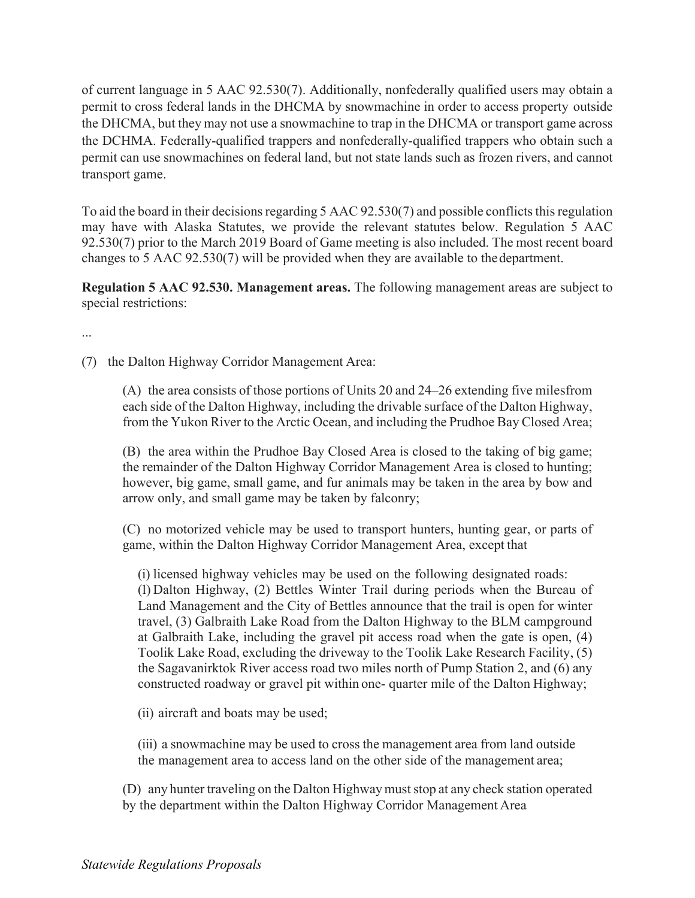of current language in 5 AAC 92.530(7). Additionally, nonfederally qualified users may obtain a permit to cross federal lands in the DHCMA by snowmachine in order to access property outside the DHCMA, but they may not use a snowmachine to trap in the DHCMA or transport game across the DCHMA. Federally-qualified trappers and nonfederally-qualified trappers who obtain such a permit can use snowmachines on federal land, but not state lands such as frozen rivers, and cannot transport game.

To aid the board in their decisions regarding 5 AAC 92.530(7) and possible conflicts this regulation may have with Alaska Statutes, we provide the relevant statutes below. Regulation 5 AAC 92.530(7) prior to the March 2019 Board of Game meeting is also included. The most recent board changes to 5 AAC 92.530(7) will be provided when they are available to the department.

**Regulation 5 AAC 92.530. Management areas.** The following management areas are subject to special restrictions:

...

(7) the Dalton Highway Corridor Management Area:

(A) the area consists of those portions of Units 20 and 24–26 extending five milesfrom each side of the Dalton Highway, including the drivable surface of the Dalton Highway, from the Yukon River to the Arctic Ocean, and including the Prudhoe Bay Closed Area;

(B) the area within the Prudhoe Bay Closed Area is closed to the taking of big game; the remainder of the Dalton Highway Corridor Management Area is closed to hunting; however, big game, small game, and fur animals may be taken in the area by bow and arrow only, and small game may be taken by falconry;

(C) no motorized vehicle may be used to transport hunters, hunting gear, or parts of game, within the Dalton Highway Corridor Management Area, except that

(i) licensed highway vehicles may be used on the following designated roads: (1) Dalton Highway, (2) Bettles Winter Trail during periods when the Bureau of Land Management and the City of Bettles announce that the trail is open for winter travel, (3) Galbraith Lake Road from the Dalton Highway to the BLM campground at Galbraith Lake, including the gravel pit access road when the gate is open, (4) Toolik Lake Road, excluding the driveway to the Toolik Lake Research Facility, (5) the Sagavanirktok River access road two miles north of Pump Station 2, and (6) any constructed roadway or gravel pit within one- quarter mile of the Dalton Highway;

(ii) aircraft and boats may be used;

(iii) a snowmachine may be used to cross the management area from land outside the management area to access land on the other side of the management area;

(D) any hunter traveling on the Dalton Highway must stop at any check station operated by the department within the Dalton Highway Corridor Management Area